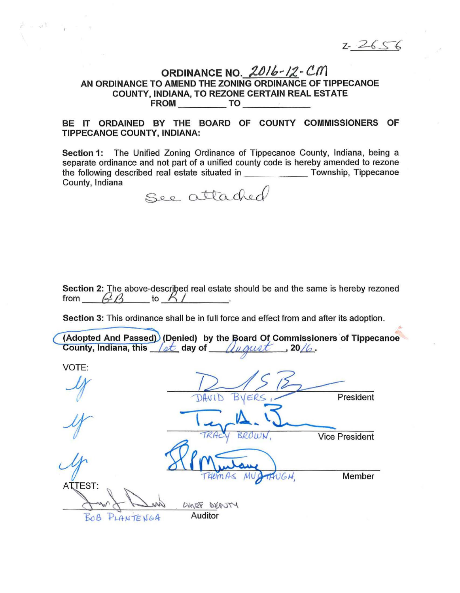$2 - 2656$ 

## ORDINANCE NO. 2016-12-CM AN ORDINANCE TO AMEND THE ZONING ORDINANCE OF TIPPECANOE COUNTY, INDIANA, TO REZONE CERTAIN REAL ESTATE FROM TO

## BE IT ORDAINED BY THE BOARD OF COUNTY COMMISSIONERS OF TIPPECANOE COUNTY, INDIANA:

Section 1: The Unified Zoning Ordinance of Tippecanoe County, Indiana, being a separate ordinance and not part of a unified county code is hereby amended to rezone the following described real estate situated in Township, Tippecanoe County, Indiana

See attached

Section 2: The above-described real estate should be and the same is hereby rezoned from  $G\beta$  to  $K/$  .

Section 3: This ordinance shall be in full force and effect from and after its adoption.

| (Adopted And Passed) (Denied) by the Board Of Commissioners of Tippecanoe                                          |  |  |  |
|--------------------------------------------------------------------------------------------------------------------|--|--|--|
| County, Indiana, this $\int_{\mathcal{A}} f \, d$ day of $\int_{\mathcal{A}} f \, d\mu$ $\partial_{\mu} f$ , 20/6. |  |  |  |

VOTE:

For all the

| VOIE:          |                        |                       |
|----------------|------------------------|-----------------------|
|                |                        |                       |
|                | BYERS<br>DAVID         | President             |
|                |                        |                       |
|                | TRACT<br>BROWN         | <b>Vice President</b> |
|                |                        |                       |
|                | TAUGH,<br>THEMAS<br>MU | Member                |
| <b>ATTEST:</b> |                        |                       |
| $\sim$         | M<br>CHIEF DEPUTY      |                       |
| BOB PLANTENGA  | Auditor                |                       |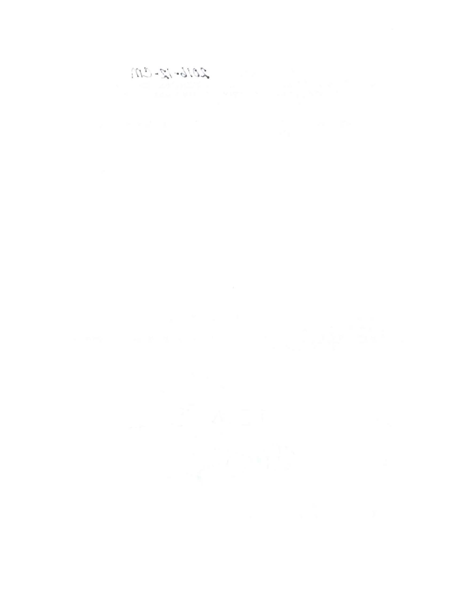# $2016 - 12 - 011$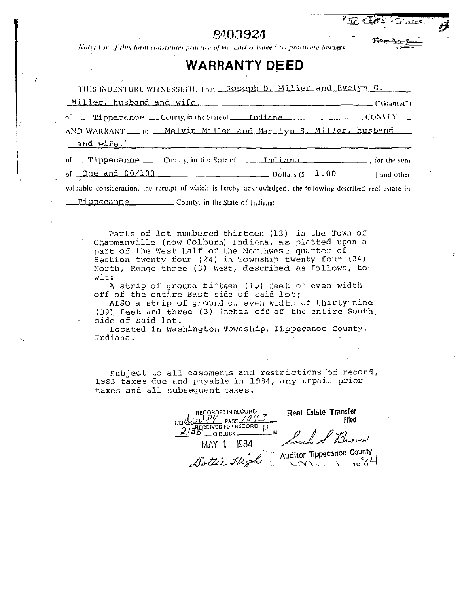## 8403924

ಿಸ್ ಲೋ

Note: Use of this form constitutes practice of law and is limited to practicing lawvers.

## **WARRANTY DEED**

| THIS INDENTURE WITNESSETH. That Joseph D. Miller and Evelyn G.                                              |  |  |  |  |  |  |  |
|-------------------------------------------------------------------------------------------------------------|--|--|--|--|--|--|--|
|                                                                                                             |  |  |  |  |  |  |  |
| of Tippecanoe County, in the State of Indiana County CONVEY                                                 |  |  |  |  |  |  |  |
| AND WARRANT  to  Melvin Miller and Marilyn S. Miller, husband<br>and wife,                                  |  |  |  |  |  |  |  |
| of Tippecanoe County, in the State of Indiana Manuscript or the sum                                         |  |  |  |  |  |  |  |
| of One and $00/100$ Dollars $(5 \t 1.00)$ and other                                                         |  |  |  |  |  |  |  |
| valuable consideration, the receipt of which is hereby acknowledged, the following described real estate in |  |  |  |  |  |  |  |
| Tippecanoe County, in the State of Indiana:                                                                 |  |  |  |  |  |  |  |
|                                                                                                             |  |  |  |  |  |  |  |

Parts of lot numbered thirteen (13) in the Town of Chapmanville (now Colburn) Indiana, as platted upon a part of the West half of the Northwest quarter of Section twenty four (24) in Township twenty four (24) North, Range three (3) West, described as follows, towit:

A strip of ground fifteen (15) feet of even width off of the entire East side of said lot;

ALSO a strip of ground of even width of thirty nine (39) feet and three (3) inches off of the entire South side of said lot.

Located in Washington Township, Tippecanoe County, Indiana.

Subject to all easements and restrictions of record, 1983 taxes due and payable in 1984, any unpaid prior taxes and all subsequent taxes.

Real Estate Transfer RECORDED IN RECORD NO decl PY PAGE 1093 Filed 2:35 OCLOCK Junior! MAY 1 1984 Auditor Tippecanoe County Dottie High  $1004$  $UNN$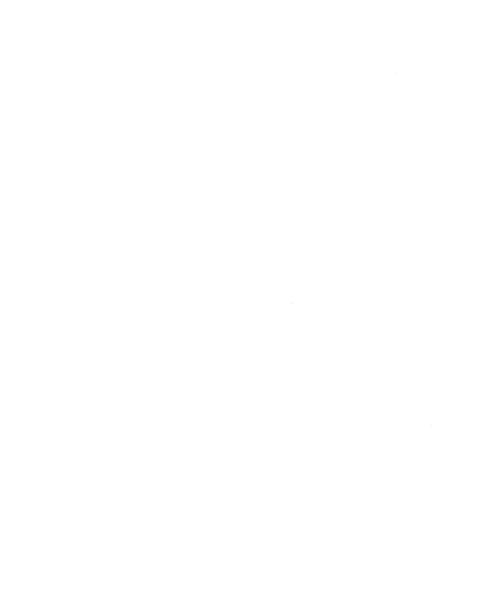## $\label{eq:2.1} \begin{split} \mathcal{L}_{\text{max}}(\mathbf{r},\mathbf{r}) = \mathcal{L}_{\text{max}}(\mathbf{r},\mathbf{r}) = \mathcal{L}_{\text{max}}(\mathbf{r},\mathbf{r}) = \mathcal{L}_{\text{max}}(\mathbf{r},\mathbf{r}) \mathcal{L}_{\text{max}}(\mathbf{r},\mathbf{r}) = \mathcal{L}_{\text{max}}(\mathbf{r},\mathbf{r}) = \mathcal{L}_{\text{max}}(\mathbf{r},\mathbf{r}) = \mathcal{L}_{\text{max}}(\mathbf{r},\mathbf{r}) = \mathcal{L}_{\text{max}}(\mathbf{$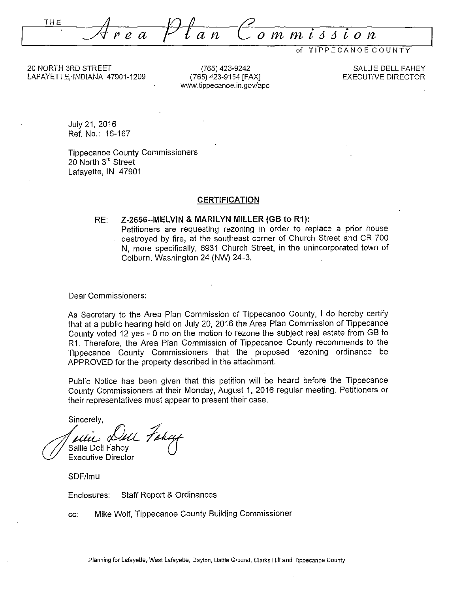$\overline{f^{\texttt{HE}}}$   $\overline{f^{\texttt{HE}}}$   $\overline{f^{\texttt{He}}}$   $\overline{f^{\texttt{He}}}$   $\overline{f^{\texttt{He}}}$   $\overline{f^{\texttt{He}}}$   $\overline{f^{\texttt{He}}}$   $\overline{f^{\texttt{He}}}$   $\overline{f^{\texttt{He}}}$   $\overline{f^{\texttt{He}}}$   $\overline{f^{\texttt{He}}}$   $\overline{f^{\texttt{He}}}$   $\overline{f^{\texttt{He}}}$   $\overline{f^{\texttt{He}}}$   $\overline{f^{\texttt{$ 

of TIPPECANOE COUNTY

20 NORTH 3RD STREET LAFAYETTE, INDIANA 47901-1209

(765) 423-9242 (765) 423-9154 [FAX] www.tippecanoe.in.gov/apc

SALLIE DELL FAHEY EXECUTIVE DIRECTOR

July 21, 2016 Ref. No.: 16-167

Tippecanoe County Commissioners 20 North 3<sup>rd</sup> Street Lafayette, IN 47901

#### **CERTIFICATION**

## RE: **Z-2656--MELVIN & MARILYN MILLER (GB to R1):**

Petitioners are requesting rezoning in order to replace a prior house destroyed by fire, at the southeast corner of Church Street and CR 700  $\mathbb{R}^2$ N, more specifically, 6931 Church Street, in the unincorporated town of Colburn, Washington 24 (NW) 24-3.

Dear Commissioners:

As Secretary to the Area Plan Commission of Tippecanoe County, I do hereby certify that at a public hearing held on July 20, 2016 the Area Plan Commission of Tippecanoe County voted 12 yes - 0 no on the motion to rezone the subject real estate from GB to R 1. Therefore, the Area Plan Commission of Tippecanoe County recommends to the Tippecanoe County Commissioners that the proposed rezoning ordinance be APPROVED for the property described in the attachment.

Public Notice has been given that this petition will be heard before the Tippecanoe County Commissioners at their Monday, August 1, 2016 regular meeting. Petitioners or their representatives must appear to present their case.

sincerely,<br>*Utile DUL Fehuf* Sallie Dell Fahey Executive Director

SDF/lmu

Enclosures: Staff Report & Ordinances

cc: Mike Wolf, Tippecanoe County Building Commissioner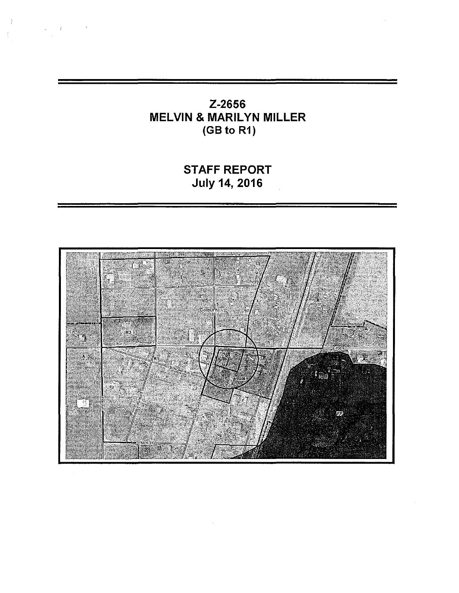## Z-2656 MELVIN & MARILYN MILLER (GB to R1)

 $\frac{1}{2}$ 

 $\frac{1}{2}$ 

 $\label{eq:2.1} \frac{1}{\sqrt{2\pi}}\frac{1}{\sqrt{2\pi}}\frac{1}{\sqrt{2\pi}}\int_{0}^{\infty}\frac{1}{\sqrt{2\pi}}\frac{1}{\sqrt{2\pi}}\frac{1}{\sqrt{2\pi}}\frac{1}{\sqrt{2\pi}}\frac{1}{\sqrt{2\pi}}\frac{1}{\sqrt{2\pi}}\frac{1}{\sqrt{2\pi}}\frac{1}{\sqrt{2\pi}}\frac{1}{\sqrt{2\pi}}\frac{1}{\sqrt{2\pi}}\frac{1}{\sqrt{2\pi}}\frac{1}{\sqrt{2\pi}}\frac{1}{\sqrt{2\pi}}\frac{1}{\sqrt{2\$ 

## STAFF REPORT July 14, 2016

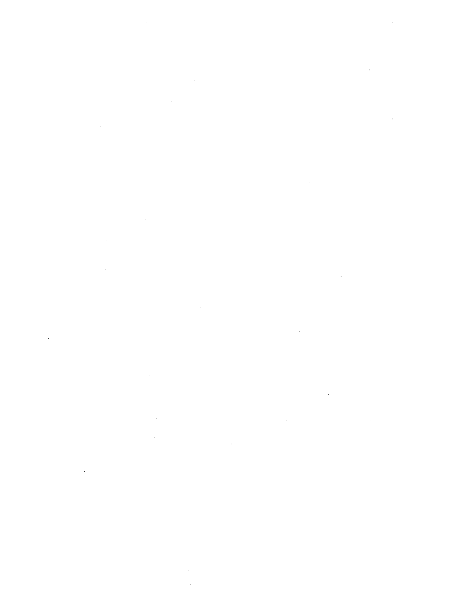$\label{eq:2.1} \frac{1}{\sqrt{2}}\int_{\mathbb{R}^3}\frac{1}{\sqrt{2}}\left(\frac{1}{\sqrt{2}}\right)^2\frac{1}{\sqrt{2}}\left(\frac{1}{\sqrt{2}}\right)^2\frac{1}{\sqrt{2}}\left(\frac{1}{\sqrt{2}}\right)^2.$  $\label{eq:2.1} \frac{1}{\sqrt{2}}\int_{\mathbb{R}^3}\frac{1}{\sqrt{2}}\left(\frac{1}{\sqrt{2}}\right)^2\frac{1}{\sqrt{2}}\left(\frac{1}{\sqrt{2}}\right)^2\frac{1}{\sqrt{2}}\left(\frac{1}{\sqrt{2}}\right)^2\frac{1}{\sqrt{2}}\left(\frac{1}{\sqrt{2}}\right)^2.$  $\mathcal{L}^{\text{max}}_{\text{max}}$  and  $\mathcal{L}^{\text{max}}_{\text{max}}$ 

 $\label{eq:2.1} \frac{1}{\sqrt{2}}\int_{\mathbb{R}^3}\frac{1}{\sqrt{2}}\left(\frac{1}{\sqrt{2}}\right)^2\frac{1}{\sqrt{2}}\left(\frac{1}{\sqrt{2}}\right)^2\frac{1}{\sqrt{2}}\left(\frac{1}{\sqrt{2}}\right)^2\frac{1}{\sqrt{2}}\left(\frac{1}{\sqrt{2}}\right)^2\frac{1}{\sqrt{2}}\left(\frac{1}{\sqrt{2}}\right)^2\frac{1}{\sqrt{2}}\frac{1}{\sqrt{2}}\frac{1}{\sqrt{2}}\frac{1}{\sqrt{2}}\frac{1}{\sqrt{2}}\frac{1}{\sqrt{2}}$  $\label{eq:2.1} \frac{1}{\sqrt{2}}\left(\frac{1}{\sqrt{2}}\right)^{2} \left(\frac{1}{\sqrt{2}}\right)^{2} \left(\frac{1}{\sqrt{2}}\right)^{2} \left(\frac{1}{\sqrt{2}}\right)^{2} \left(\frac{1}{\sqrt{2}}\right)^{2} \left(\frac{1}{\sqrt{2}}\right)^{2} \left(\frac{1}{\sqrt{2}}\right)^{2} \left(\frac{1}{\sqrt{2}}\right)^{2} \left(\frac{1}{\sqrt{2}}\right)^{2} \left(\frac{1}{\sqrt{2}}\right)^{2} \left(\frac{1}{\sqrt{2}}\right)^{2} \left(\$ 

a de la construcción de la construcción de la construcción de la construcción de la construcción de la constru<br>A la construcción de la construcción de la construcción de la construcción de la construcción de la construcci 

 $\label{eq:2.1} \frac{1}{\sqrt{2}}\int_{\mathbb{R}^3} \frac{1}{\sqrt{2}}\left(\frac{1}{\sqrt{2}}\right)^2\frac{1}{\sqrt{2}}\left(\frac{1}{\sqrt{2}}\right)^2\frac{1}{\sqrt{2}}\left(\frac{1}{\sqrt{2}}\right)^2.$  $\label{eq:2.1} \frac{1}{\sqrt{2}}\int_{\mathbb{R}^3}\frac{1}{\sqrt{2}}\left(\frac{1}{\sqrt{2}}\right)^2\frac{1}{\sqrt{2}}\left(\frac{1}{\sqrt{2}}\right)^2\frac{1}{\sqrt{2}}\left(\frac{1}{\sqrt{2}}\right)^2.$ 

 $\mathcal{L}^{\mathcal{L}}(\mathcal{L}^{\mathcal{L}})$  and  $\mathcal{L}^{\mathcal{L}}(\mathcal{L}^{\mathcal{L}})$  and  $\mathcal{L}^{\mathcal{L}}(\mathcal{L}^{\mathcal{L}})$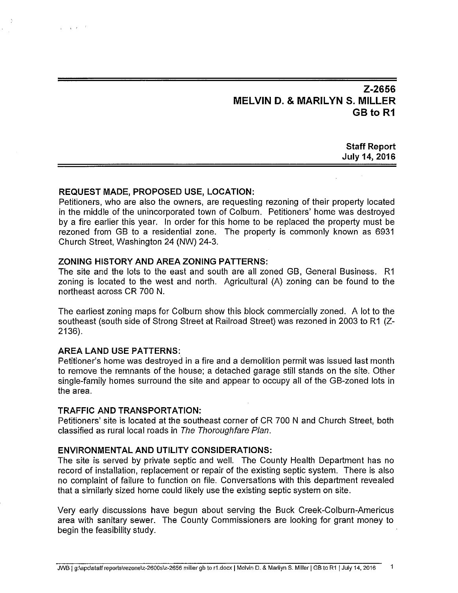## **Z-2656 MELVIN D. & MARILYN S. MILLER GB to R1**

**Staff Report July 14, 2016** 

## **REQUEST MADE, PROPOSED USE, LOCATION:**

Petitioners, who are also the owners, are requesting rezoning of their property located in the middle of the unincorporated town of Colburn. Petitioners' home was destroyed by a fire earlier this year. In order for this home to be replaced the property must be rezoned from GB to a residential zone. The property is commonly known as 6931 Church Street, Washington 24 (NW) 24-3.

### **ZONING HISTORY AND AREA ZONING PATTERNS:**

The site and the lots to the east and south are all zoned GB, General Business. R1 zoning is located to the west and north. Agricultural (A) zoning can be found to the northeast across CR 700 N.

The earliest zoning maps for Colburn show this block commercially zoned. A lot to the southeast (south side of Strong Street at Railroad Street) was rezoned in 2003 to R1 (Z-2136).

### **AREA LAND USE PATTERNS:**

 $e^{\pm i\omega}e^{-i\omega}e^{-i\omega\tau}$ 

Petitioner's home was destroyed in a fire and a demolition permit was issued last month to remove the remnants of the house; a detached garage still stands on the site. Other single-family homes surround the site and appear to occupy all of the GB-zoned lots in the area.

## **TRAFFIC AND TRANSPORTATION:**

Petitioners' site is located at the southeast corner of CR 700 N and Church Street, both classified as rural local roads in The Thoroughfare Plan.

### **ENVIRONMENTAL AND UTILITY CONSIDERATIONS:**

The site is served by private septic and well. The County Health Department has no record of installation, replacement or repair of the existing septic system. There is also no complaint of failure to function on file. Conversations with this department revealed that a similarly sized home could likely use the existing septic system on site.

Very early discussions have begun about serving the Buck Creek-Colburn-Americus area with sanitary sewer. The County Commissioners are looking for grant money to begin the feasibility study.